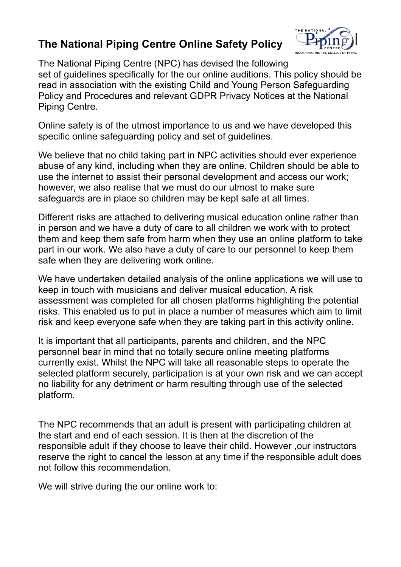## **The National Piping Centre Online Safety Policy**



The National Piping Centre (NPC) has devised the following set of guidelines specifically for the our online auditions. This policy should be read in association with the existing Child and Young Person Safeguarding Policy and Procedures and relevant GDPR Privacy Notices at the National Piping Centre.

Online safety is of the utmost importance to us and we have developed this specific online safeguarding policy and set of guidelines.

We believe that no child taking part in NPC activities should ever experience abuse of any kind, including when they are online. Children should be able to use the internet to assist their personal development and access our work; however, we also realise that we must do our utmost to make sure safeguards are in place so children may be kept safe at all times.

Different risks are attached to delivering musical education online rather than in person and we have a duty of care to all children we work with to protect them and keep them safe from harm when they use an online platform to take part in our work. We also have a duty of care to our personnel to keep them safe when they are delivering work online.

We have undertaken detailed analysis of the online applications we will use to keep in touch with musicians and deliver musical education. A risk assessment was completed for all chosen platforms highlighting the potential risks. This enabled us to put in place a number of measures which aim to limit risk and keep everyone safe when they are taking part in this activity online.

It is important that all participants, parents and children, and the NPC personnel bear in mind that no totally secure online meeting platforms currently exist. Whilst the NPC will take all reasonable steps to operate the selected platform securely, participation is at your own risk and we can accept no liability for any detriment or harm resulting through use of the selected platform.

The NPC recommends that an adult is present with participating children at the start and end of each session. It is then at the discretion of the responsible adult if they choose to leave their child. However ,our instructors reserve the right to cancel the lesson at any time if the responsible adult does not follow this recommendation.

We will strive during the our online work to: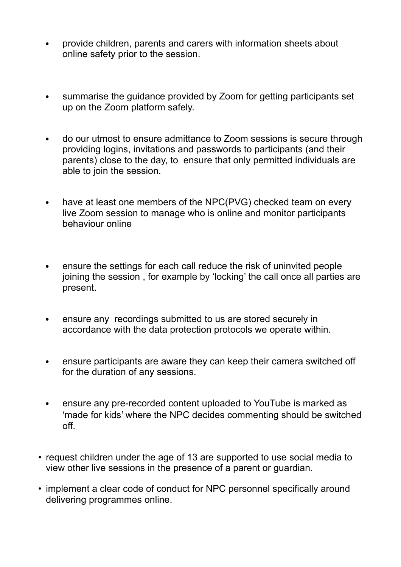- provide children, parents and carers with information sheets about online safety prior to the session.
- summarise the guidance provided by Zoom for getting participants set up on the Zoom platform safely.
- do our utmost to ensure admittance to Zoom sessions is secure through providing logins, invitations and passwords to participants (and their parents) close to the day, to ensure that only permitted individuals are able to join the session.
- have at least one members of the NPC(PVG) checked team on every live Zoom session to manage who is online and monitor participants behaviour online
- ensure the settings for each call reduce the risk of uninvited people joining the session , for example by 'locking' the call once all parties are present.
- ensure any recordings submitted to us are stored securely in accordance with the data protection protocols we operate within.
- ensure participants are aware they can keep their camera switched off for the duration of any sessions.
- ensure any pre-recorded content uploaded to YouTube is marked as 'made for kids' where the NPC decides commenting should be switched off.
- request children under the age of 13 are supported to use social media to view other live sessions in the presence of a parent or guardian.
- implement a clear code of conduct for NPC personnel specifically around delivering programmes online.